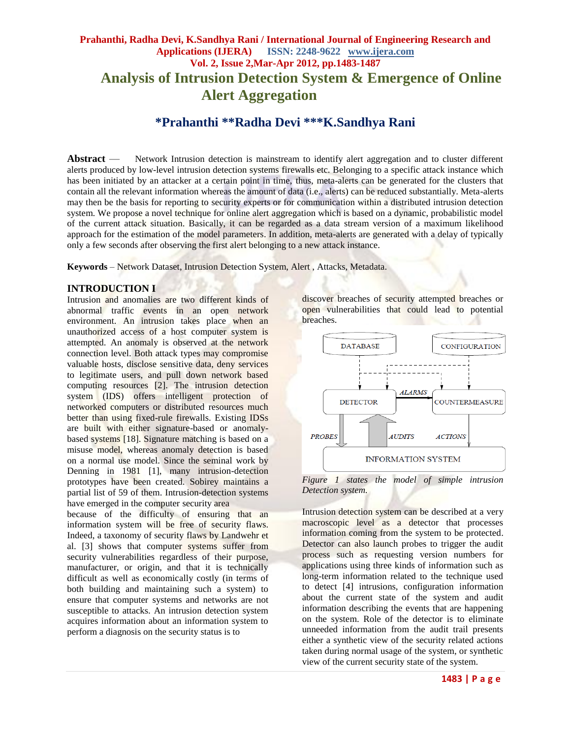## **Prahanthi, Radha Devi, K.Sandhya Rani / International Journal of Engineering Research and Applications (IJERA) ISSN: 2248-9622 www.ijera.com Vol. 2, Issue 2,Mar-Apr 2012, pp.1483-1487 Analysis of Intrusion Detection System & Emergence of Online Alert Aggregation**

# **\*Prahanthi \*\*Radha Devi \*\*\*K.Sandhya Rani**

**Abstract** — Network Intrusion detection is mainstream to identify alert aggregation and to cluster different alerts produced by low-level intrusion detection systems firewalls etc. Belonging to a specific attack instance which has been initiated by an attacker at a certain point in time, thus, meta-alerts can be generated for the clusters that contain all the relevant information whereas the amount of data (i.e., alerts) can be reduced substantially. Meta-alerts may then be the basis for reporting to security experts or for communication within a distributed intrusion detection system. We propose a novel technique for online alert aggregation which is based on a dynamic, probabilistic model of the current attack situation. Basically, it can be regarded as a data stream version of a maximum likelihood approach for the estimation of the model parameters. In addition, meta-alerts are generated with a delay of typically only a few seconds after observing the first alert belonging to a new attack instance.

**Keywords** – Network Dataset, Intrusion Detection System, Alert , Attacks, Metadata.

#### **INTRODUCTION I**

Intrusion and anomalies are two different kinds of abnormal traffic events in an open network environment. An intrusion takes place when an unauthorized access of a host computer system is attempted. An anomaly is observed at the network connection level. Both attack types may compromise valuable hosts, disclose sensitive data, deny services to legitimate users, and pull down network based computing resources [2]. The intrusion detection system (IDS) offers intelligent protection of networked computers or distributed resources much better than using fixed-rule firewalls. Existing IDSs are built with either signature-based or anomalybased systems [18]. Signature matching is based on a misuse model, whereas anomaly detection is based on a normal use model. Since the seminal work by Denning in 1981 [1], many intrusion-detection prototypes have been created. Sobirey maintains a partial list of 59 of them. Intrusion-detection systems have emerged in the computer security area

because of the difficulty of ensuring that an information system will be free of security flaws. Indeed, a taxonomy of security flaws by Landwehr et al. [3] shows that computer systems suffer from security vulnerabilities regardless of their purpose, manufacturer, or origin, and that it is technically difficult as well as economically costly (in terms of both building and maintaining such a system) to ensure that computer systems and networks are not susceptible to attacks. An intrusion detection system acquires information about an information system to perform a diagnosis on the security status is to

discover breaches of security attempted breaches or open vulnerabilities that could lead to potential breaches.



*Figure 1 states the model of simple intrusion Detection system.*

Intrusion detection system can be described at a very macroscopic level as a detector that processes information coming from the system to be protected. Detector can also launch probes to trigger the audit process such as requesting version numbers for applications using three kinds of information such as long-term information related to the technique used to detect [4] intrusions, configuration information about the current state of the system and audit information describing the events that are happening on the system. Role of the detector is to eliminate unneeded information from the audit trail presents either a synthetic view of the security related actions taken during normal usage of the system, or synthetic view of the current security state of the system.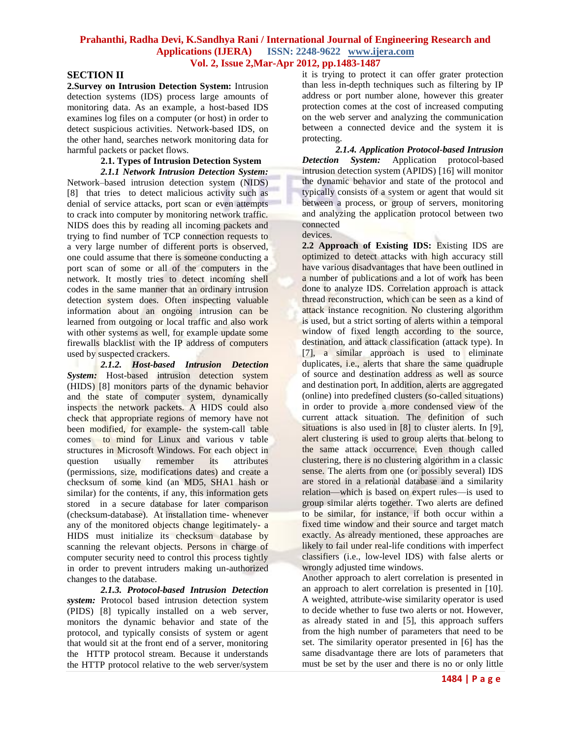## **SECTION II**

**2.Survey on Intrusion Detection System:** Intrusion detection systems (IDS) process large amounts of monitoring data. As an example, a host-based IDS examines log files on a computer (or host) in order to detect suspicious activities. Network-based IDS, on the other hand, searches network monitoring data for harmful packets or packet flows.

#### **2.1. Types of Intrusion Detection System**  *2.1.1 Network Intrusion Detection System:*

Network–based intrusion detection system (NIDS) [8] that tries to detect malicious activity such as denial of service attacks, port scan or even attempts to crack into computer by monitoring network traffic. NIDS does this by reading all incoming packets and trying to find number of TCP connection requests to a very large number of different ports is observed, one could assume that there is someone conducting a port scan of some or all of the computers in the network. It mostly tries to detect incoming shell codes in the same manner that an ordinary intrusion detection system does. Often inspecting valuable information about an ongoing intrusion can be learned from outgoing or local traffic and also work with other systems as well, for example update some firewalls blacklist with the IP address of computers used by suspected crackers.

*2.1.2. Host-based Intrusion Detection System:* Host-based intrusion detection system (HIDS) [8] monitors parts of the dynamic behavior and the state of computer system, dynamically inspects the network packets. A HIDS could also check that appropriate regions of memory have not been modified, for example- the system-call table comes to mind for Linux and various v table structures in Microsoft Windows. For each object in question usually remember its attributes (permissions, size, modifications dates) and create a checksum of some kind (an MD5, SHA1 hash or similar) for the contents, if any, this information gets stored in a secure database for later comparison (checksum-database). At installation time- whenever any of the monitored objects change legitimately- a HIDS must initialize its checksum database by scanning the relevant objects. Persons in charge of computer security need to control this process tightly in order to prevent intruders making un-authorized changes to the database.

*2.1.3. Protocol-based Intrusion Detection system:* Protocol based intrusion detection system (PIDS) [8] typically installed on a web server, monitors the dynamic behavior and state of the protocol, and typically consists of system or agent that would sit at the front end of a server, monitoring the HTTP protocol stream. Because it understands the HTTP protocol relative to the web server/system

it is trying to protect it can offer grater protection than less in-depth techniques such as filtering by IP address or port number alone, however this greater protection comes at the cost of increased computing on the web server and analyzing the communication between a connected device and the system it is protecting.

*2.1.4. Application Protocol-based Intrusion Detection System:* Application protocol-based intrusion detection system (APIDS) [16] will monitor the dynamic behavior and state of the protocol and typically consists of a system or agent that would sit between a process, or group of servers, monitoring and analyzing the application protocol between two connected

devices.

**2.2 Approach of Existing IDS:** Existing IDS are optimized to detect attacks with high accuracy still have various disadvantages that have been outlined in a number of publications and a lot of work has been done to analyze IDS. Correlation approach is attack thread reconstruction, which can be seen as a kind of attack instance recognition. No clustering algorithm is used, but a strict sorting of alerts within a temporal window of fixed length according to the source, destination, and attack classification (attack type). In [7], a similar approach is used to eliminate duplicates, i.e., alerts that share the same quadruple of source and destination address as well as source and destination port. In addition, alerts are aggregated (online) into predefined clusters (so-called situations) in order to provide a more condensed view of the current attack situation. The definition of such situations is also used in [8] to cluster alerts. In [9], alert clustering is used to group alerts that belong to the same attack occurrence. Even though called clustering, there is no clustering algorithm in a classic sense. The alerts from one (or possibly several) IDS are stored in a relational database and a similarity relation—which is based on expert rules—is used to group similar alerts together. Two alerts are defined to be similar, for instance, if both occur within a fixed time window and their source and target match exactly. As already mentioned, these approaches are likely to fail under real-life conditions with imperfect classifiers (i.e., low-level IDS) with false alerts or wrongly adjusted time windows.

Another approach to alert correlation is presented in an approach to alert correlation is presented in [10]. A weighted, attribute-wise similarity operator is used to decide whether to fuse two alerts or not. However, as already stated in and [5], this approach suffers from the high number of parameters that need to be set. The similarity operator presented in [6] has the same disadvantage there are lots of parameters that must be set by the user and there is no or only little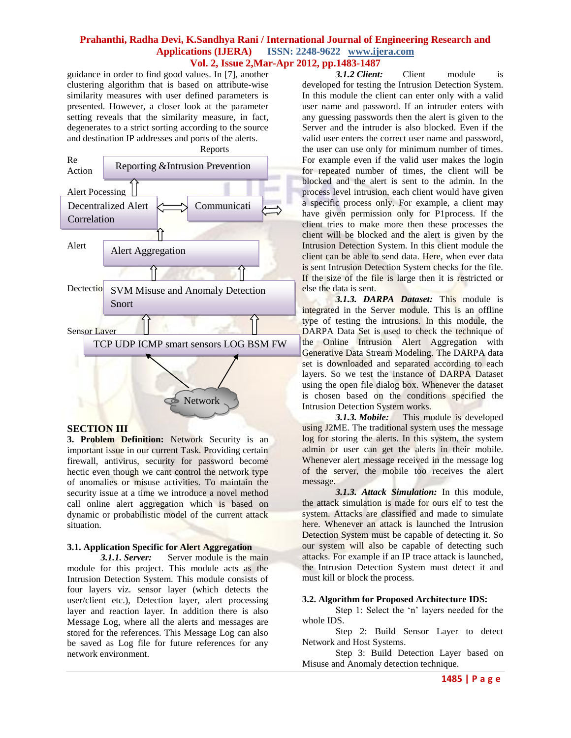guidance in order to find good values. In [7], another clustering algorithm that is based on attribute-wise similarity measures with user defined parameters is presented. However, a closer look at the parameter setting reveals that the similarity measure, in fact, degenerates to a strict sorting according to the source and destination IP addresses and ports of the alerts. Reports



#### **SECTION III**

**3. Problem Definition:** Network Security is an important issue in our current Task. Providing certain firewall, antivirus, security for password become hectic even though we cant control the network type of anomalies or misuse activities. To maintain the security issue at a time we introduce a novel method call online alert aggregation which is based on dynamic or probabilistic model of the current attack situation.

## **3.1. Application Specific for Alert Aggregation**

*3.1.1. Server:* Server module is the main module for this project. This module acts as the Intrusion Detection System. This module consists of four layers viz. sensor layer (which detects the user/client etc.), Detection layer, alert processing layer and reaction layer. In addition there is also Message Log, where all the alerts and messages are stored for the references. This Message Log can also be saved as Log file for future references for any network environment.

*3.1.2 Client:* Client module is developed for testing the Intrusion Detection System. In this module the client can enter only with a valid user name and password. If an intruder enters with any guessing passwords then the alert is given to the Server and the intruder is also blocked. Even if the valid user enters the correct user name and password, the user can use only for minimum number of times. For example even if the valid user makes the login for repeated number of times, the client will be blocked and the alert is sent to the admin. In the process level intrusion, each client would have given a specific process only. For example, a client may have given permission only for P1process. If the client tries to make more then these processes the client will be blocked and the alert is given by the Intrusion Detection System. In this client module the client can be able to send data. Here, when ever data is sent Intrusion Detection System checks for the file. If the size of the file is large then it is restricted or else the data is sent.

*3.1.3. DARPA Dataset:* This module is integrated in the Server module. This is an offline type of testing the intrusions. In this module, the DARPA Data Set is used to check the technique of the Online Intrusion Alert Aggregation with Generative Data Stream Modeling. The DARPA data set is downloaded and separated according to each layers. So we test the instance of DARPA Dataset using the open file dialog box. Whenever the dataset is chosen based on the conditions specified the Intrusion Detection System works.

*3.1.3. Mobile:* This module is developed using J2ME. The traditional system uses the message log for storing the alerts. In this system, the system admin or user can get the alerts in their mobile. Whenever alert message received in the message log of the server, the mobile too receives the alert message.

*3.1.3. Attack Simulation:* In this module, the attack simulation is made for ours elf to test the system. Attacks are classified and made to simulate here. Whenever an attack is launched the Intrusion Detection System must be capable of detecting it. So our system will also be capable of detecting such attacks. For example if an IP trace attack is launched, the Intrusion Detection System must detect it and must kill or block the process.

## **3.2. Algorithm for Proposed Architecture IDS:**

Step 1: Select the 'n' layers needed for the whole IDS.

Step 2: Build Sensor Layer to detect Network and Host Systems.

Step 3: Build Detection Layer based on Misuse and Anomaly detection technique.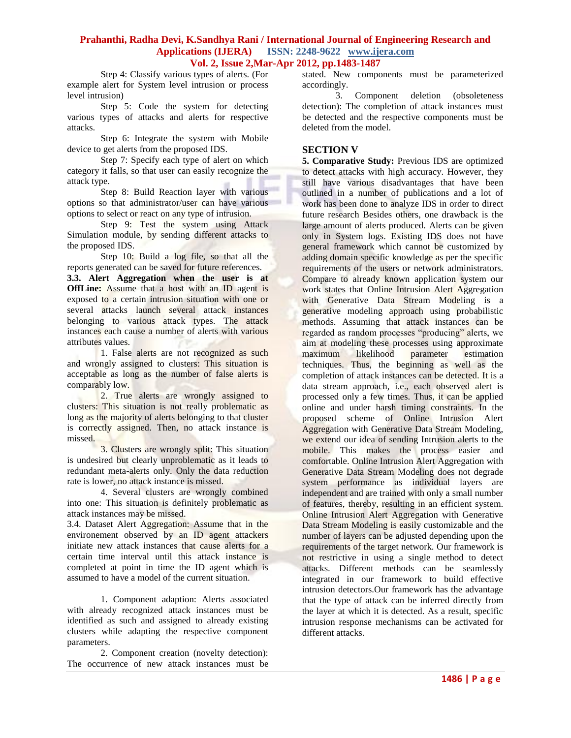Step 4: Classify various types of alerts. (For example alert for System level intrusion or process level intrusion)

Step 5: Code the system for detecting various types of attacks and alerts for respective attacks.

Step 6: Integrate the system with Mobile device to get alerts from the proposed IDS.

Step 7: Specify each type of alert on which category it falls, so that user can easily recognize the attack type.

Step 8: Build Reaction layer with various options so that administrator/user can have various options to select or react on any type of intrusion.

Step 9: Test the system using Attack Simulation module, by sending different attacks to the proposed IDS.

Step 10: Build a log file, so that all the reports generated can be saved for future references.

**3.3. Alert Aggregation when the user is at OffLine:** Assume that a host with an ID agent is exposed to a certain intrusion situation with one or several attacks launch several attack instances belonging to various attack types. The attack instances each cause a number of alerts with various attributes values.

1. False alerts are not recognized as such and wrongly assigned to clusters: This situation is acceptable as long as the number of false alerts is comparably low.

2. True alerts are wrongly assigned to clusters: This situation is not really problematic as long as the majority of alerts belonging to that cluster is correctly assigned. Then, no attack instance is missed.

3. Clusters are wrongly split: This situation is undesired but clearly unproblematic as it leads to redundant meta-alerts only. Only the data reduction rate is lower, no attack instance is missed.

4. Several clusters are wrongly combined into one: This situation is definitely problematic as attack instances may be missed.

3.4. Dataset Alert Aggregation: Assume that in the environement observed by an ID agent attackers initiate new attack instances that cause alerts for a certain time interval until this attack instance is completed at point in time the ID agent which is assumed to have a model of the current situation.

1. Component adaption: Alerts associated with already recognized attack instances must be identified as such and assigned to already existing clusters while adapting the respective component parameters.

2. Component creation (novelty detection): The occurrence of new attack instances must be

stated. New components must be parameterized accordingly.

3. Component deletion (obsoleteness detection): The completion of attack instances must be detected and the respective components must be deleted from the model.

## **SECTION V**

**5. Comparative Study:** Previous IDS are optimized to detect attacks with high accuracy. However, they still have various disadvantages that have been outlined in a number of publications and a lot of work has been done to analyze IDS in order to direct future research Besides others, one drawback is the large amount of alerts produced. Alerts can be given only in System logs. Existing IDS does not have general framework which cannot be customized by adding domain specific knowledge as per the specific requirements of the users or network administrators. Compare to already known application system our work states that Online Intrusion Alert Aggregation with Generative Data Stream Modeling is a generative modeling approach using probabilistic methods. Assuming that attack instances can be regarded as random processes "producing" alerts, we aim at modeling these processes using approximate maximum likelihood parameter estimation techniques. Thus, the beginning as well as the completion of attack instances can be detected. It is a data stream approach, i.e., each observed alert is processed only a few times. Thus, it can be applied online and under harsh timing constraints. In the proposed scheme of Online Intrusion Alert Aggregation with Generative Data Stream Modeling, we extend our idea of sending Intrusion alerts to the mobile. This makes the process easier and comfortable. Online Intrusion Alert Aggregation with Generative Data Stream Modeling does not degrade system performance as individual layers are independent and are trained with only a small number of features, thereby, resulting in an efficient system. Online Intrusion Alert Aggregation with Generative Data Stream Modeling is easily customizable and the number of layers can be adjusted depending upon the requirements of the target network. Our framework is not restrictive in using a single method to detect attacks. Different methods can be seamlessly integrated in our framework to build effective intrusion detectors.Our framework has the advantage that the type of attack can be inferred directly from the layer at which it is detected. As a result, specific intrusion response mechanisms can be activated for different attacks.